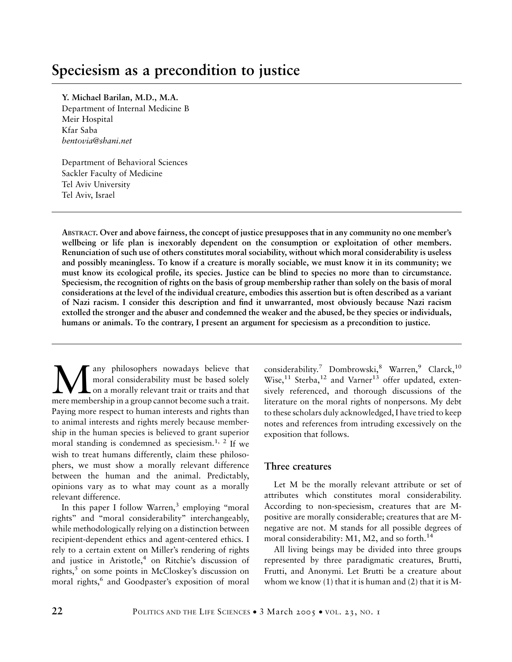# Speciesism as a precondition to justice

Y. Michael Barilan, M.D., M.A. Department of Internal Medicine B Meir Hospital Kfar Saba bentovia@shani.net

Department of Behavioral Sciences Sackler Faculty of Medicine Tel Aviv University Tel Aviv, Israel

ABSTRACT. Over and above fairness, the concept of justice presupposes that in any community no one member's wellbeing or life plan is inexorably dependent on the consumption or exploitation of other members. Renunciation of such use of others constitutes moral sociability, without which moral considerability is useless and possibly meaningless. To know if a creature is morally sociable, we must know it in its community; we must know its ecological profile, its species. Justice can be blind to species no more than to circumstance. Speciesism, the recognition of rights on the basis of group membership rather than solely on the basis of moral considerations at the level of the individual creature, embodies this assertion but is often described as a variant of Nazi racism. I consider this description and find it unwarranted, most obviously because Nazi racism extolled the stronger and the abuser and condemned the weaker and the abused, be they species or individuals, humans or animals. To the contrary, I present an argument for speciesism as a precondition to justice.

any philosophers nowadays believe that moral considerability must be based solely **L** on a morally relevant trait or traits and that mere membership in a group cannot become such a trait. Paying more respect to human interests and rights than to animal interests and rights merely because membership in the human species is believed to grant superior moral standing is condemned as speciesism.<sup>1, 2</sup> If we wish to treat humans differently, claim these philosophers, we must show a morally relevant difference between the human and the animal. Predictably, opinions vary as to what may count as a morally relevant difference.

In this paper I follow Warren, $3$  employing "moral rights'' and ''moral considerability'' interchangeably, while methodologically relying on a distinction between recipient-dependent ethics and agent-centered ethics. I rely to a certain extent on Miller's rendering of rights and justice in Aristotle,<sup>4</sup> on Ritchie's discussion of rights, $5$  on some points in McCloskey's discussion on moral rights,<sup>6</sup> and Goodpaster's exposition of moral

considerability.<sup>7</sup> Dombrowski,<sup>8</sup> Warren,<sup>9</sup> Clarck,<sup>10</sup> Wise, $^{11}$  Sterba, $^{12}$  and Varner<sup>13</sup> offer updated, extensively referenced, and thorough discussions of the literature on the moral rights of nonpersons. My debt to these scholars duly acknowledged, I have tried to keep notes and references from intruding excessively on the exposition that follows.

#### Three creatures

Let M be the morally relevant attribute or set of attributes which constitutes moral considerability. According to non-speciesism, creatures that are Mpositive are morally considerable; creatures that are Mnegative are not. M stands for all possible degrees of moral considerability: M1, M2, and so forth.<sup>14</sup>

All living beings may be divided into three groups represented by three paradigmatic creatures, Brutti, Frutti, and Anonymi. Let Brutti be a creature about whom we know  $(1)$  that it is human and  $(2)$  that it is M-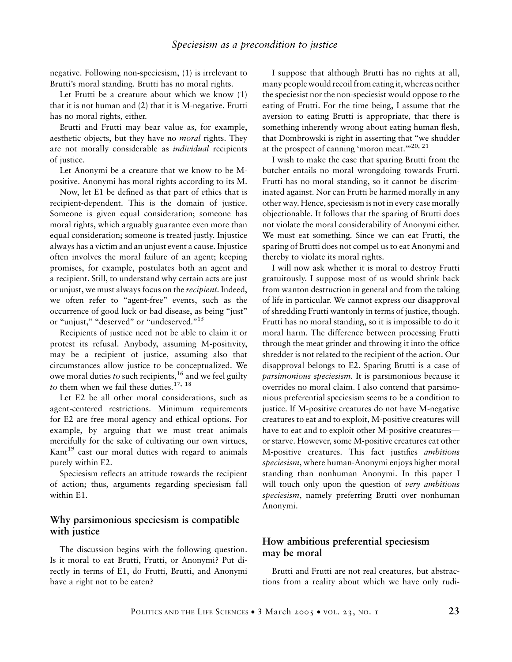negative. Following non-speciesism, (1) is irrelevant to Brutti's moral standing. Brutti has no moral rights.

Let Frutti be a creature about which we know (1) that it is not human and (2) that it is M-negative. Frutti has no moral rights, either.

Brutti and Frutti may bear value as, for example, aesthetic objects, but they have no *moral* rights. They are not morally considerable as individual recipients of justice.

Let Anonymi be a creature that we know to be Mpositive. Anonymi has moral rights according to its M.

Now, let E1 be defined as that part of ethics that is recipient-dependent. This is the domain of justice. Someone is given equal consideration; someone has moral rights, which arguably guarantee even more than equal consideration; someone is treated justly. Injustice always has a victim and an unjust event a cause. Injustice often involves the moral failure of an agent; keeping promises, for example, postulates both an agent and a recipient. Still, to understand why certain acts are just or unjust, we must always focus on the recipient. Indeed, we often refer to "agent-free" events, such as the occurrence of good luck or bad disease, as being ''just'' or "unjust," "deserved" or "undeserved."<sup>15</sup>

Recipients of justice need not be able to claim it or protest its refusal. Anybody, assuming M-positivity, may be a recipient of justice, assuming also that circumstances allow justice to be conceptualized. We owe moral duties to such recipients,  $16$  and we feel guilty to them when we fail these duties.<sup>17, 18</sup>

Let E2 be all other moral considerations, such as agent-centered restrictions. Minimum requirements for E2 are free moral agency and ethical options. For example, by arguing that we must treat animals mercifully for the sake of cultivating our own virtues,  $Kant<sup>19</sup>$  cast our moral duties with regard to animals purely within E2.

Speciesism reflects an attitude towards the recipient of action; thus, arguments regarding speciesism fall within E1.

## Why parsimonious speciesism is compatible with justice

The discussion begins with the following question. Is it moral to eat Brutti, Frutti, or Anonymi? Put directly in terms of E1, do Frutti, Brutti, and Anonymi have a right not to be eaten?

I suppose that although Brutti has no rights at all, many people would recoil from eating it, whereas neither the speciesist nor the non-speciesist would oppose to the eating of Frutti. For the time being, I assume that the aversion to eating Brutti is appropriate, that there is something inherently wrong about eating human flesh, that Dombrowski is right in asserting that ''we shudder at the prospect of canning 'moron meat."<sup>20, 21</sup>

I wish to make the case that sparing Brutti from the butcher entails no moral wrongdoing towards Frutti. Frutti has no moral standing, so it cannot be discriminated against. Nor can Frutti be harmed morally in any other way. Hence, speciesism is not in every case morally objectionable. It follows that the sparing of Brutti does not violate the moral considerability of Anonymi either. We must eat something. Since we can eat Frutti, the sparing of Brutti does not compel us to eat Anonymi and thereby to violate its moral rights.

I will now ask whether it is moral to destroy Frutti gratuitously. I suppose most of us would shrink back from wanton destruction in general and from the taking of life in particular. We cannot express our disapproval of shredding Frutti wantonly in terms of justice, though. Frutti has no moral standing, so it is impossible to do it moral harm. The difference between processing Frutti through the meat grinder and throwing it into the office shredder is not related to the recipient of the action. Our disapproval belongs to E2. Sparing Brutti is a case of parsimonious speciesism. It is parsimonious because it overrides no moral claim. I also contend that parsimonious preferential speciesism seems to be a condition to justice. If M-positive creatures do not have M-negative creatures to eat and to exploit, M-positive creatures will have to eat and to exploit other M-positive creatures or starve. However, some M-positive creatures eat other M-positive creatures. This fact justifies *ambitious* speciesism, where human-Anonymi enjoys higher moral standing than nonhuman Anonymi. In this paper I will touch only upon the question of very ambitious speciesism, namely preferring Brutti over nonhuman Anonymi.

# How ambitious preferential speciesism may be moral

Brutti and Frutti are not real creatures, but abstractions from a reality about which we have only rudi-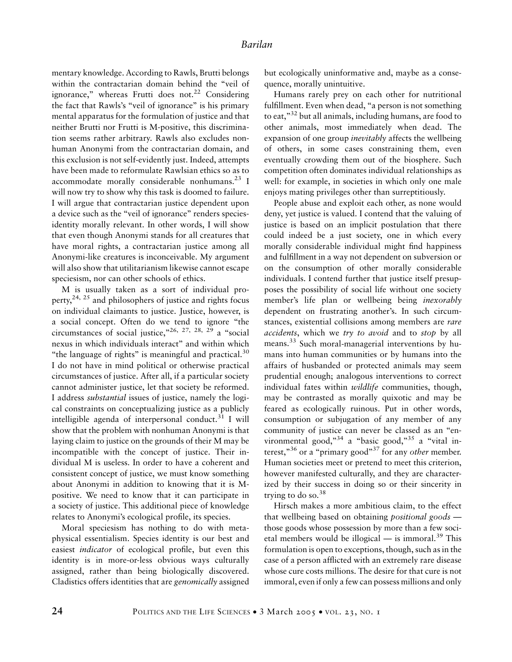mentary knowledge. According to Rawls, Brutti belongs within the contractarian domain behind the "veil of ignorance," whereas Frutti does not.<sup>22</sup> Considering the fact that Rawls's "veil of ignorance" is his primary mental apparatus for the formulation of justice and that neither Brutti nor Frutti is M-positive, this discrimination seems rather arbitrary. Rawls also excludes nonhuman Anonymi from the contractarian domain, and this exclusion is not self-evidently just. Indeed, attempts have been made to reformulate Rawlsian ethics so as to accommodate morally considerable nonhumans.<sup>23</sup> I will now try to show why this task is doomed to failure. I will argue that contractarian justice dependent upon a device such as the ''veil of ignorance'' renders speciesidentity morally relevant. In other words, I will show that even though Anonymi stands for all creatures that have moral rights, a contractarian justice among all Anonymi-like creatures is inconceivable. My argument will also show that utilitarianism likewise cannot escape speciesism, nor can other schools of ethics.

M is usually taken as a sort of individual property,  $24$ ,  $25$  and philosophers of justice and rights focus on individual claimants to justice. Justice, however, is a social concept. Often do we tend to ignore ''the circumstances of social justice, $^{26, 27, 28, 29}$  a "social nexus in which individuals interact'' and within which "the language of rights" is meaningful and practical. $30$ I do not have in mind political or otherwise practical circumstances of justice. After all, if a particular society cannot administer justice, let that society be reformed. I address substantial issues of justice, namely the logical constraints on conceptualizing justice as a publicly intelligible agenda of interpersonal conduct. $31$  I will show that the problem with nonhuman Anonymi is that laying claim to justice on the grounds of their M may be incompatible with the concept of justice. Their individual M is useless. In order to have a coherent and consistent concept of justice, we must know something about Anonymi in addition to knowing that it is Mpositive. We need to know that it can participate in a society of justice. This additional piece of knowledge relates to Anonymi's ecological profile, its species.

Moral speciesism has nothing to do with metaphysical essentialism. Species identity is our best and easiest indicator of ecological profile, but even this identity is in more-or-less obvious ways culturally assigned, rather than being biologically discovered. Cladistics offers identities that are genomically assigned

but ecologically uninformative and, maybe as a consequence, morally unintuitive.

Humans rarely prey on each other for nutritional fulfillment. Even when dead, "a person is not something to eat,<sup>32</sup> but all animals, including humans, are food to other animals, most immediately when dead. The expansion of one group *inevitably* affects the wellbeing of others, in some cases constraining them, even eventually crowding them out of the biosphere. Such competition often dominates individual relationships as well: for example, in societies in which only one male enjoys mating privileges other than surreptitiously.

People abuse and exploit each other, as none would deny, yet justice is valued. I contend that the valuing of justice is based on an implicit postulation that there could indeed be a just society, one in which every morally considerable individual might find happiness and fulfillment in a way not dependent on subversion or on the consumption of other morally considerable individuals. I contend further that justice itself presupposes the possibility of social life without one society member's life plan or wellbeing being *inexorably* dependent on frustrating another's. In such circumstances, existential collisions among members are rare accidents, which we try to avoid and to stop by all means.<sup>33</sup> Such moral-managerial interventions by humans into human communities or by humans into the affairs of husbanded or protected animals may seem prudential enough; analogous interventions to correct individual fates within *wildlife* communities, though, may be contrasted as morally quixotic and may be feared as ecologically ruinous. Put in other words, consumption or subjugation of any member of any community of justice can never be classed as an ''environmental good,"  $34$  a "basic good,"  $35$  a "vital interest,"<sup>36</sup> or a "primary good"<sup>37</sup> for any other member. Human societies meet or pretend to meet this criterion, however manifested culturally, and they are characterized by their success in doing so or their sincerity in trying to do so.  $38$ 

Hirsch makes a more ambitious claim, to the effect that wellbeing based on obtaining positional goods those goods whose possession by more than a few societal members would be illogical — is immoral.<sup>39</sup> This formulation is open to exceptions, though, such as in the case of a person afflicted with an extremely rare disease whose cure costs millions. The desire for that cure is not immoral, even if only a few can possess millions and only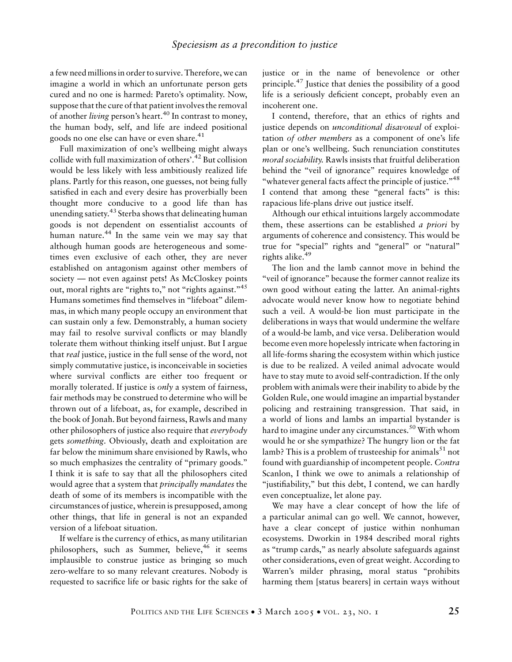a few need millions in order to survive. Therefore, we can imagine a world in which an unfortunate person gets cured and no one is harmed: Pareto's optimality. Now, suppose that the cure of that patient involves the removal of another *living* person's heart.<sup>40</sup> In contrast to money, the human body, self, and life are indeed positional goods no one else can have or even share.<sup>41</sup>

Full maximization of one's wellbeing might always collide with full maximization of others'.<sup>42</sup> But collision would be less likely with less ambitiously realized life plans. Partly for this reason, one guesses, not being fully satisfied in each and every desire has proverbially been thought more conducive to a good life than has unending satiety.<sup>43</sup> Sterba shows that delineating human goods is not dependent on essentialist accounts of human nature.<sup>44</sup> In the same vein we may say that although human goods are heterogeneous and sometimes even exclusive of each other, they are never established on antagonism against other members of society — not even against pets! As McCloskey points out, moral rights are "rights to," not "rights against."<sup>45</sup> Humans sometimes find themselves in "lifeboat" dilemmas, in which many people occupy an environment that can sustain only a few. Demonstrably, a human society may fail to resolve survival conflicts or may blandly tolerate them without thinking itself unjust. But I argue that real justice, justice in the full sense of the word, not simply commutative justice, is inconceivable in societies where survival conflicts are either too frequent or morally tolerated. If justice is *only* a system of fairness, fair methods may be construed to determine who will be thrown out of a lifeboat, as, for example, described in the book of Jonah. But beyond fairness, Rawls and many other philosophers of justice also require that everybody gets something. Obviously, death and exploitation are far below the minimum share envisioned by Rawls, who so much emphasizes the centrality of "primary goods." I think it is safe to say that all the philosophers cited would agree that a system that *principally mandates* the death of some of its members is incompatible with the circumstances of justice, wherein is presupposed, among other things, that life in general is not an expanded version of a lifeboat situation.

If welfare is the currency of ethics, as many utilitarian philosophers, such as Summer, believe,<sup>46</sup> it seems implausible to construe justice as bringing so much zero-welfare to so many relevant creatures. Nobody is requested to sacrifice life or basic rights for the sake of justice or in the name of benevolence or other principle.<sup>47</sup> Justice that denies the possibility of a good life is a seriously deficient concept, probably even an incoherent one.

I contend, therefore, that an ethics of rights and justice depends on *unconditional disavowal* of exploitation of other members as a component of one's life plan or one's wellbeing. Such renunciation constitutes moral sociability. Rawls insists that fruitful deliberation behind the "veil of ignorance" requires knowledge of "whatever general facts affect the principle of justice."<sup>48</sup> I contend that among these ''general facts'' is this: rapacious life-plans drive out justice itself.

Although our ethical intuitions largely accommodate them, these assertions can be established a priori by arguments of coherence and consistency. This would be true for ''special'' rights and ''general'' or ''natural'' rights alike.<sup>49</sup>

The lion and the lamb cannot move in behind the "veil of ignorance" because the former cannot realize its own good without eating the latter. An animal-rights advocate would never know how to negotiate behind such a veil. A would-be lion must participate in the deliberations in ways that would undermine the welfare of a would-be lamb, and vice versa. Deliberation would become even more hopelessly intricate when factoring in all life-forms sharing the ecosystem within which justice is due to be realized. A veiled animal advocate would have to stay mute to avoid self-contradiction. If the only problem with animals were their inability to abide by the Golden Rule, one would imagine an impartial bystander policing and restraining transgression. That said, in a world of lions and lambs an impartial bystander is hard to imagine under any circumstances.<sup>50</sup> With whom would he or she sympathize? The hungry lion or the fat lamb? This is a problem of trusteeship for animals<sup>51</sup> not found with guardianship of incompetent people. Contra Scanlon, I think we owe to animals a relationship of "justifiability," but this debt, I contend, we can hardly even conceptualize, let alone pay.

We may have a clear concept of how the life of a particular animal can go well. We cannot, however, have a clear concept of justice within nonhuman ecosystems. Dworkin in 1984 described moral rights as ''trump cards,'' as nearly absolute safeguards against other considerations, even of great weight. According to Warren's milder phrasing, moral status ''prohibits harming them [status bearers] in certain ways without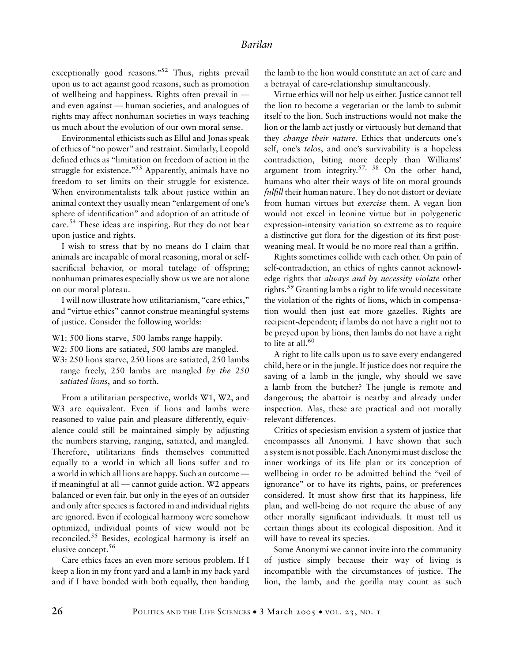exceptionally good reasons."<sup>52</sup> Thus, rights prevail upon us to act against good reasons, such as promotion of wellbeing and happiness. Rights often prevail in and even against — human societies, and analogues of rights may affect nonhuman societies in ways teaching us much about the evolution of our own moral sense.

Environmental ethicists such as Ellul and Jonas speak of ethics of ''no power'' and restraint. Similarly, Leopold defined ethics as ''limitation on freedom of action in the struggle for existence."<sup>53</sup> Apparently, animals have no freedom to set limits on their struggle for existence. When environmentalists talk about justice within an animal context they usually mean ''enlargement of one's sphere of identification'' and adoption of an attitude of care.<sup>54</sup> These ideas are inspiring. But they do not bear upon justice and rights.

I wish to stress that by no means do I claim that animals are incapable of moral reasoning, moral or selfsacrificial behavior, or moral tutelage of offspring; nonhuman primates especially show us we are not alone on our moral plateau.

I will now illustrate how utilitarianism, "care ethics," and "virtue ethics" cannot construe meaningful systems of justice. Consider the following worlds:

W1: 500 lions starve, 500 lambs range happily.

W2: 500 lions are satiated, 500 lambs are mangled.

W3: 250 lions starve, 250 lions are satiated, 250 lambs range freely, 250 lambs are mangled by the 250 satiated lions, and so forth.

From a utilitarian perspective, worlds W1, W2, and W3 are equivalent. Even if lions and lambs were reasoned to value pain and pleasure differently, equivalence could still be maintained simply by adjusting the numbers starving, ranging, satiated, and mangled. Therefore, utilitarians finds themselves committed equally to a world in which all lions suffer and to a world in which all lions are happy. Such an outcome if meaningful at all — cannot guide action. W2 appears balanced or even fair, but only in the eyes of an outsider and only after species is factored in and individual rights are ignored. Even if ecological harmony were somehow optimized, individual points of view would not be reconciled.<sup>55</sup> Besides, ecological harmony is itself an elusive concept.<sup>56</sup>

Care ethics faces an even more serious problem. If I keep a lion in my front yard and a lamb in my back yard and if I have bonded with both equally, then handing the lamb to the lion would constitute an act of care and a betrayal of care-relationship simultaneously.

Virtue ethics will not help us either. Justice cannot tell the lion to become a vegetarian or the lamb to submit itself to the lion. Such instructions would not make the lion or the lamb act justly or virtuously but demand that they change their nature. Ethics that undercuts one's self, one's telos, and one's survivability is a hopeless contradiction, biting more deeply than Williams' argument from integrity.<sup>57, 58</sup> On the other hand, humans who alter their ways of life on moral grounds fulfill their human nature. They do not distort or deviate from human virtues but exercise them. A vegan lion would not excel in leonine virtue but in polygenetic expression-intensity variation so extreme as to require a distinctive gut flora for the digestion of its first postweaning meal. It would be no more real than a griffin.

Rights sometimes collide with each other. On pain of self-contradiction, an ethics of rights cannot acknowledge rights that always and by necessity violate other rights.59 Granting lambs a right to life would necessitate the violation of the rights of lions, which in compensation would then just eat more gazelles. Rights are recipient-dependent; if lambs do not have a right not to be preyed upon by lions, then lambs do not have a right to life at all.<sup>60</sup>

A right to life calls upon us to save every endangered child, here or in the jungle. If justice does not require the saving of a lamb in the jungle, why should we save a lamb from the butcher? The jungle is remote and dangerous; the abattoir is nearby and already under inspection. Alas, these are practical and not morally relevant differences.

Critics of speciesism envision a system of justice that encompasses all Anonymi. I have shown that such a system is not possible. Each Anonymi must disclose the inner workings of its life plan or its conception of wellbeing in order to be admitted behind the ''veil of ignorance'' or to have its rights, pains, or preferences considered. It must show first that its happiness, life plan, and well-being do not require the abuse of any other morally significant individuals. It must tell us certain things about its ecological disposition. And it will have to reveal its species.

Some Anonymi we cannot invite into the community of justice simply because their way of living is incompatible with the circumstances of justice. The lion, the lamb, and the gorilla may count as such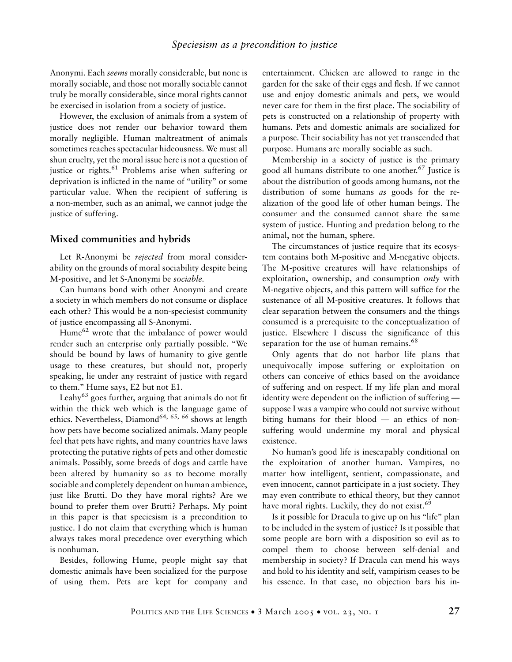Anonymi. Each seems morally considerable, but none is morally sociable, and those not morally sociable cannot truly be morally considerable, since moral rights cannot be exercised in isolation from a society of justice.

However, the exclusion of animals from a system of justice does not render our behavior toward them morally negligible. Human maltreatment of animals sometimes reaches spectacular hideousness. We must all shun cruelty, yet the moral issue here is not a question of justice or rights.<sup>61</sup> Problems arise when suffering or deprivation is inflicted in the name of ''utility'' or some particular value. When the recipient of suffering is a non-member, such as an animal, we cannot judge the justice of suffering.

## Mixed communities and hybrids

Let R-Anonymi be *rejected* from moral considerability on the grounds of moral sociability despite being M-positive, and let S-Anonymi be sociable.

Can humans bond with other Anonymi and create a society in which members do not consume or displace each other? This would be a non-speciesist community of justice encompassing all S-Anonymi.

Hume<sup>62</sup> wrote that the imbalance of power would render such an enterprise only partially possible. ''We should be bound by laws of humanity to give gentle usage to these creatures, but should not, properly speaking, lie under any restraint of justice with regard to them.'' Hume says, E2 but not E1.

Leahy $^{63}$  goes further, arguing that animals do not fit within the thick web which is the language game of ethics. Nevertheless, Diamond<sup>64, 65, 66</sup> shows at length how pets have become socialized animals. Many people feel that pets have rights, and many countries have laws protecting the putative rights of pets and other domestic animals. Possibly, some breeds of dogs and cattle have been altered by humanity so as to become morally sociable and completely dependent on human ambience, just like Brutti. Do they have moral rights? Are we bound to prefer them over Brutti? Perhaps. My point in this paper is that speciesism is a precondition to justice. I do not claim that everything which is human always takes moral precedence over everything which is nonhuman.

Besides, following Hume, people might say that domestic animals have been socialized for the purpose of using them. Pets are kept for company and

entertainment. Chicken are allowed to range in the garden for the sake of their eggs and flesh. If we cannot use and enjoy domestic animals and pets, we would never care for them in the first place. The sociability of pets is constructed on a relationship of property with humans. Pets and domestic animals are socialized for a purpose. Their sociability has not yet transcended that purpose. Humans are morally sociable as such.

Membership in a society of justice is the primary good all humans distribute to one another.<sup>67</sup> Justice is about the distribution of goods among humans, not the distribution of some humans as goods for the realization of the good life of other human beings. The consumer and the consumed cannot share the same system of justice. Hunting and predation belong to the animal, not the human, sphere.

The circumstances of justice require that its ecosystem contains both M-positive and M-negative objects. The M-positive creatures will have relationships of exploitation, ownership, and consumption only with M-negative objects, and this pattern will suffice for the sustenance of all M-positive creatures. It follows that clear separation between the consumers and the things consumed is a prerequisite to the conceptualization of justice. Elsewhere I discuss the significance of this separation for the use of human remains.<sup>68</sup>

Only agents that do not harbor life plans that unequivocally impose suffering or exploitation on others can conceive of ethics based on the avoidance of suffering and on respect. If my life plan and moral identity were dependent on the infliction of suffering suppose I was a vampire who could not survive without biting humans for their blood — an ethics of nonsuffering would undermine my moral and physical existence.

No human's good life is inescapably conditional on the exploitation of another human. Vampires, no matter how intelligent, sentient, compassionate, and even innocent, cannot participate in a just society. They may even contribute to ethical theory, but they cannot have moral rights. Luckily, they do not exist.<sup>69</sup>

Is it possible for Dracula to give up on his ''life'' plan to be included in the system of justice? Is it possible that some people are born with a disposition so evil as to compel them to choose between self-denial and membership in society? If Dracula can mend his ways and hold to his identity and self, vampirism ceases to be his essence. In that case, no objection bars his in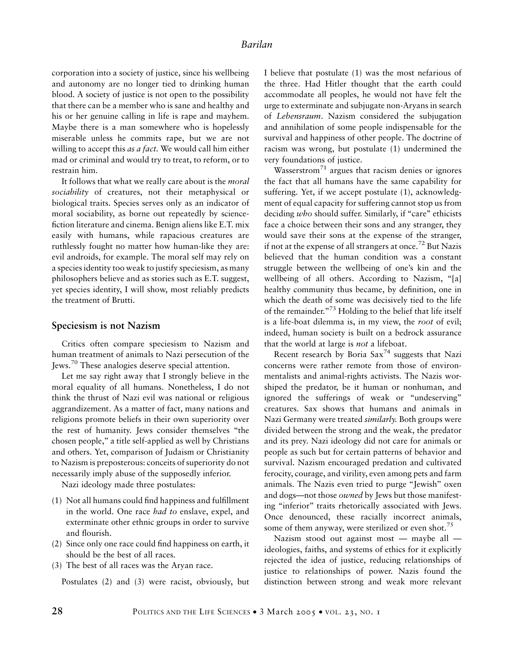corporation into a society of justice, since his wellbeing and autonomy are no longer tied to drinking human blood. A society of justice is not open to the possibility that there can be a member who is sane and healthy and his or her genuine calling in life is rape and mayhem. Maybe there is a man somewhere who is hopelessly miserable unless he commits rape, but we are not willing to accept this *as a fact*. We would call him either mad or criminal and would try to treat, to reform, or to restrain him.

It follows that what we really care about is the *moral* sociability of creatures, not their metaphysical or biological traits. Species serves only as an indicator of moral sociability, as borne out repeatedly by sciencefiction literature and cinema. Benign aliens like E.T. mix easily with humans, while rapacious creatures are ruthlessly fought no matter how human-like they are: evil androids, for example. The moral self may rely on a species identity too weak to justify speciesism, as many philosophers believe and as stories such as E.T. suggest, yet species identity, I will show, most reliably predicts the treatment of Brutti.

#### Speciesism is not Nazism

Critics often compare speciesism to Nazism and human treatment of animals to Nazi persecution of the Jews.<sup>70</sup> These analogies deserve special attention.

Let me say right away that I strongly believe in the moral equality of all humans. Nonetheless, I do not think the thrust of Nazi evil was national or religious aggrandizement. As a matter of fact, many nations and religions promote beliefs in their own superiority over the rest of humanity. Jews consider themselves ''the chosen people,'' a title self-applied as well by Christians and others. Yet, comparison of Judaism or Christianity to Nazism is preposterous: conceits of superiority do not necessarily imply abuse of the supposedly inferior.

Nazi ideology made three postulates:

- (1) Not all humans could find happiness and fulfillment in the world. One race had to enslave, expel, and exterminate other ethnic groups in order to survive and flourish.
- (2) Since only one race could find happiness on earth, it should be the best of all races.
- (3) The best of all races was the Aryan race.

Postulates (2) and (3) were racist, obviously, but

I believe that postulate (1) was the most nefarious of the three. Had Hitler thought that the earth could accommodate all peoples, he would not have felt the urge to exterminate and subjugate non-Aryans in search of Lebensraum. Nazism considered the subjugation and annihilation of some people indispensable for the survival and happiness of other people. The doctrine of racism was wrong, but postulate (1) undermined the very foundations of justice.

Wasserstrom<sup>71</sup> argues that racism denies or ignores the fact that all humans have the same capability for suffering. Yet, if we accept postulate (1), acknowledgment of equal capacity for suffering cannot stop us from deciding  $who$  should suffer. Similarly, if "care" ethicists face a choice between their sons and any stranger, they would save their sons at the expense of the stranger, if not at the expense of all strangers at once.<sup>72</sup> But Nazis believed that the human condition was a constant struggle between the wellbeing of one's kin and the wellbeing of all others. According to Nazism, "[a] healthy community thus became, by definition, one in which the death of some was decisively tied to the life of the remainder."<sup>73</sup> Holding to the belief that life itself is a life-boat dilemma is, in my view, the root of evil; indeed, human society is built on a bedrock assurance that the world at large is not a lifeboat.

Recent research by Boria  $Sax^{74}$  suggests that Nazi concerns were rather remote from those of environmentalists and animal-rights activists. The Nazis worshiped the predator, be it human or nonhuman, and ignored the sufferings of weak or ''undeserving'' creatures. Sax shows that humans and animals in Nazi Germany were treated similarly. Both groups were divided between the strong and the weak, the predator and its prey. Nazi ideology did not care for animals or people as such but for certain patterns of behavior and survival. Nazism encouraged predation and cultivated ferocity, courage, and virility, even among pets and farm animals. The Nazis even tried to purge ''Jewish'' oxen and dogs—not those owned by Jews but those manifesting ''inferior'' traits rhetorically associated with Jews. Once denounced, these racially incorrect animals, some of them anyway, were sterilized or even shot.<sup>75</sup>

Nazism stood out against most — maybe all ideologies, faiths, and systems of ethics for it explicitly rejected the idea of justice, reducing relationships of justice to relationships of power. Nazis found the distinction between strong and weak more relevant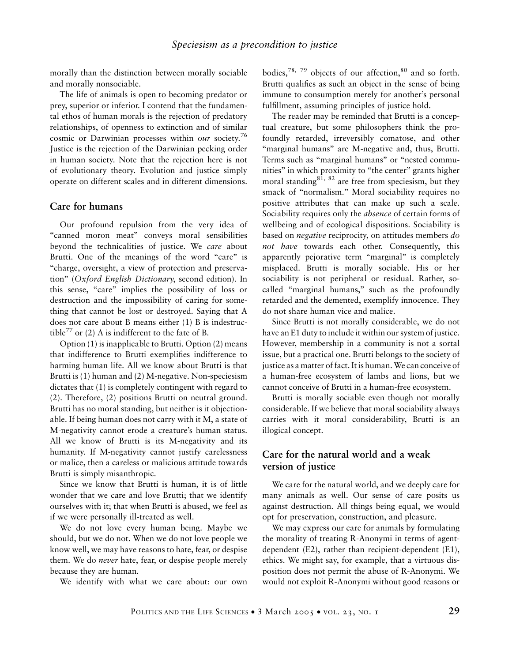morally than the distinction between morally sociable and morally nonsociable.

The life of animals is open to becoming predator or prey, superior or inferior. I contend that the fundamental ethos of human morals is the rejection of predatory relationships, of openness to extinction and of similar cosmic or Darwinian processes within our society.<sup>76</sup> Justice is the rejection of the Darwinian pecking order in human society. Note that the rejection here is not of evolutionary theory. Evolution and justice simply operate on different scales and in different dimensions.

### Care for humans

Our profound repulsion from the very idea of "canned moron meat" conveys moral sensibilities beyond the technicalities of justice. We care about Brutti. One of the meanings of the word "care" is ''charge, oversight, a view of protection and preservation'' (Oxford English Dictionary, second edition). In this sense, "care" implies the possibility of loss or destruction and the impossibility of caring for something that cannot be lost or destroyed. Saying that A does not care about B means either (1) B is indestructible<sup>77</sup> or (2) A is indifferent to the fate of B.

Option (1) is inapplicable to Brutti. Option (2) means that indifference to Brutti exemplifies indifference to harming human life. All we know about Brutti is that Brutti is (1) human and (2) M-negative. Non-speciesism dictates that (1) is completely contingent with regard to (2). Therefore, (2) positions Brutti on neutral ground. Brutti has no moral standing, but neither is it objectionable. If being human does not carry with it M, a state of M-negativity cannot erode a creature's human status. All we know of Brutti is its M-negativity and its humanity. If M-negativity cannot justify carelessness or malice, then a careless or malicious attitude towards Brutti is simply misanthropic.

Since we know that Brutti is human, it is of little wonder that we care and love Brutti; that we identify ourselves with it; that when Brutti is abused, we feel as if we were personally ill-treated as well.

We do not love every human being. Maybe we should, but we do not. When we do not love people we know well, we may have reasons to hate, fear, or despise them. We do *never* hate, fear, or despise people merely because they are human.

We identify with what we care about: our own

bodies,<sup>78, 79</sup> objects of our affection, $80$  and so forth. Brutti qualifies as such an object in the sense of being immune to consumption merely for another's personal fulfillment, assuming principles of justice hold.

The reader may be reminded that Brutti is a conceptual creature, but some philosophers think the profoundly retarded, irreversibly comatose, and other "marginal humans" are M-negative and, thus, Brutti. Terms such as ''marginal humans'' or ''nested communities'' in which proximity to ''the center'' grants higher moral standing $8^{31, 82}$  are free from speciesism, but they smack of "normalism." Moral sociability requires no positive attributes that can make up such a scale. Sociability requires only the *absence* of certain forms of wellbeing and of ecological dispositions. Sociability is based on negative reciprocity, on attitudes members do not have towards each other. Consequently, this apparently pejorative term ''marginal'' is completely misplaced. Brutti is morally sociable. His or her sociability is not peripheral or residual. Rather, socalled "marginal humans," such as the profoundly retarded and the demented, exemplify innocence. They do not share human vice and malice.

Since Brutti is not morally considerable, we do not have an E1 duty to include it within our system of justice. However, membership in a community is not a sortal issue, but a practical one. Brutti belongs to the society of justice as a matter of fact. It is human. We can conceive of a human-free ecosystem of lambs and lions, but we cannot conceive of Brutti in a human-free ecosystem.

Brutti is morally sociable even though not morally considerable. If we believe that moral sociability always carries with it moral considerability, Brutti is an illogical concept.

# Care for the natural world and a weak version of justice

We care for the natural world, and we deeply care for many animals as well. Our sense of care posits us against destruction. All things being equal, we would opt for preservation, construction, and pleasure.

We may express our care for animals by formulating the morality of treating R-Anonymi in terms of agentdependent (E2), rather than recipient-dependent (E1), ethics. We might say, for example, that a virtuous disposition does not permit the abuse of R-Anonymi. We would not exploit R-Anonymi without good reasons or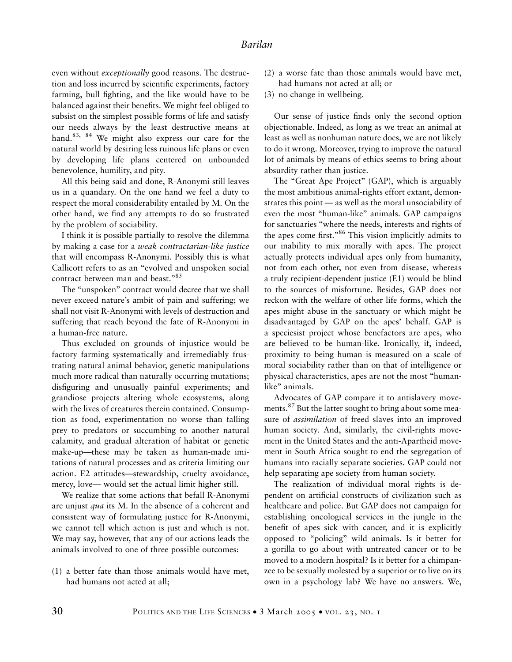even without exceptionally good reasons. The destruction and loss incurred by scientific experiments, factory farming, bull fighting, and the like would have to be balanced against their benefits. We might feel obliged to subsist on the simplest possible forms of life and satisfy our needs always by the least destructive means at hand.<sup>83, 84</sup> We might also express our care for the natural world by desiring less ruinous life plans or even by developing life plans centered on unbounded benevolence, humility, and pity.

All this being said and done, R-Anonymi still leaves us in a quandary. On the one hand we feel a duty to respect the moral considerability entailed by M. On the other hand, we find any attempts to do so frustrated by the problem of sociability.

I think it is possible partially to resolve the dilemma by making a case for a weak contractarian-like justice that will encompass R-Anonymi. Possibly this is what Callicott refers to as an ''evolved and unspoken social contract between man and beast."<sup>85</sup>

The "unspoken" contract would decree that we shall never exceed nature's ambit of pain and suffering; we shall not visit R-Anonymi with levels of destruction and suffering that reach beyond the fate of R-Anonymi in a human-free nature.

Thus excluded on grounds of injustice would be factory farming systematically and irremediably frustrating natural animal behavior, genetic manipulations much more radical than naturally occurring mutations; disfiguring and unusually painful experiments; and grandiose projects altering whole ecosystems, along with the lives of creatures therein contained. Consumption as food, experimentation no worse than falling prey to predators or succumbing to another natural calamity, and gradual alteration of habitat or genetic make-up—these may be taken as human-made imitations of natural processes and as criteria limiting our action. E2 attitudes—stewardship, cruelty avoidance, mercy, love— would set the actual limit higher still.

We realize that some actions that befall R-Anonymi are unjust *qua* its M. In the absence of a coherent and consistent way of formulating justice for R-Anonymi, we cannot tell which action is just and which is not. We may say, however, that any of our actions leads the animals involved to one of three possible outcomes:

(1) a better fate than those animals would have met, had humans not acted at all;

- (2) a worse fate than those animals would have met, had humans not acted at all; or
- (3) no change in wellbeing.

Our sense of justice finds only the second option objectionable. Indeed, as long as we treat an animal at least as well as nonhuman nature does, we are not likely to do it wrong. Moreover, trying to improve the natural lot of animals by means of ethics seems to bring about absurdity rather than justice.

The "Great Ape Project" (GAP), which is arguably the most ambitious animal-rights effort extant, demonstrates this point — as well as the moral unsociability of even the most ''human-like'' animals. GAP campaigns for sanctuaries ''where the needs, interests and rights of the apes come first."<sup>86</sup> This vision implicitly admits to our inability to mix morally with apes. The project actually protects individual apes only from humanity, not from each other, not even from disease, whereas a truly recipient-dependent justice (E1) would be blind to the sources of misfortune. Besides, GAP does not reckon with the welfare of other life forms, which the apes might abuse in the sanctuary or which might be disadvantaged by GAP on the apes' behalf. GAP is a speciesist project whose benefactors are apes, who are believed to be human-like. Ironically, if, indeed, proximity to being human is measured on a scale of moral sociability rather than on that of intelligence or physical characteristics, apes are not the most ''humanlike'' animals.

Advocates of GAP compare it to antislavery movements.<sup>87</sup> But the latter sought to bring about some measure of assimilation of freed slaves into an improved human society. And, similarly, the civil-rights movement in the United States and the anti-Apartheid movement in South Africa sought to end the segregation of humans into racially separate societies. GAP could not help separating ape society from human society.

The realization of individual moral rights is dependent on artificial constructs of civilization such as healthcare and police. But GAP does not campaign for establishing oncological services in the jungle in the benefit of apes sick with cancer, and it is explicitly opposed to ''policing'' wild animals. Is it better for a gorilla to go about with untreated cancer or to be moved to a modern hospital? Is it better for a chimpanzee to be sexually molested by a superior or to live on its own in a psychology lab? We have no answers. We,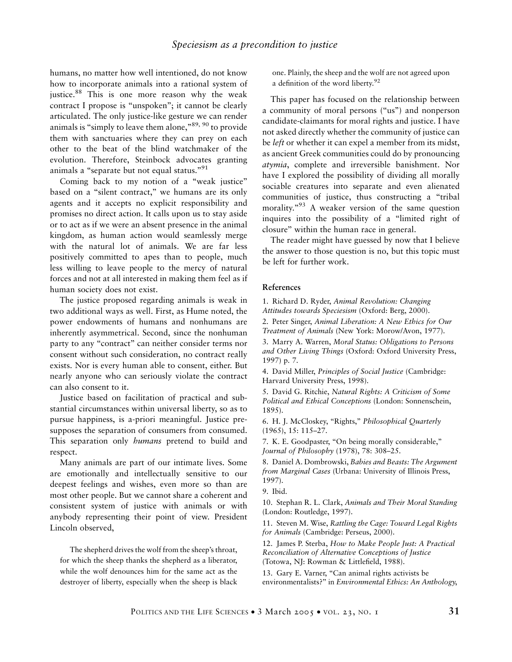humans, no matter how well intentioned, do not know how to incorporate animals into a rational system of justice.<sup>88</sup> This is one more reason why the weak contract I propose is "unspoken"; it cannot be clearly articulated. The only justice-like gesture we can render animals is "simply to leave them alone,"  $89, 90$  to provide them with sanctuaries where they can prey on each other to the beat of the blind watchmaker of the evolution. Therefore, Steinbock advocates granting animals a "separate but not equal status."<sup>91</sup>

Coming back to my notion of a "weak justice" based on a "silent contract," we humans are its only agents and it accepts no explicit responsibility and promises no direct action. It calls upon us to stay aside or to act as if we were an absent presence in the animal kingdom, as human action would seamlessly merge with the natural lot of animals. We are far less positively committed to apes than to people, much less willing to leave people to the mercy of natural forces and not at all interested in making them feel as if human society does not exist.

The justice proposed regarding animals is weak in two additional ways as well. First, as Hume noted, the power endowments of humans and nonhumans are inherently asymmetrical. Second, since the nonhuman party to any "contract" can neither consider terms nor consent without such consideration, no contract really exists. Nor is every human able to consent, either. But nearly anyone who can seriously violate the contract can also consent to it.

Justice based on facilitation of practical and substantial circumstances within universal liberty, so as to pursue happiness, is a-priori meaningful. Justice presupposes the separation of consumers from consumed. This separation only humans pretend to build and respect.

Many animals are part of our intimate lives. Some are emotionally and intellectually sensitive to our deepest feelings and wishes, even more so than are most other people. But we cannot share a coherent and consistent system of justice with animals or with anybody representing their point of view. President Lincoln observed,

The shepherd drives the wolf from the sheep's throat, for which the sheep thanks the shepherd as a liberator, while the wolf denounces him for the same act as the destroyer of liberty, especially when the sheep is black

one. Plainly, the sheep and the wolf are not agreed upon a definition of the word liberty.<sup>92</sup>

This paper has focused on the relationship between a community of moral persons (''us'') and nonperson candidate-claimants for moral rights and justice. I have not asked directly whether the community of justice can be *left* or whether it can expel a member from its midst, as ancient Greek communities could do by pronouncing atymia, complete and irreversible banishment. Nor have I explored the possibility of dividing all morally sociable creatures into separate and even alienated communities of justice, thus constructing a ''tribal morality."<sup>93</sup> A weaker version of the same question inquires into the possibility of a ''limited right of closure'' within the human race in general.

The reader might have guessed by now that I believe the answer to those question is no, but this topic must be left for further work.

#### References

1. Richard D. Ryder, Animal Revolution: Changing Attitudes towards Speciesism (Oxford: Berg, 2000).

2. Peter Singer, Animal Liberation: A New Ethics for Our Treatment of Animals (New York: Morow/Avon, 1977).

3. Marry A. Warren, Moral Status: Obligations to Persons and Other Living Things (Oxford: Oxford University Press, 1997) p. 7.

4. David Miller, Principles of Social Justice (Cambridge: Harvard University Press, 1998).

5. David G. Ritchie, Natural Rights: A Criticism of Some Political and Ethical Conceptions (London: Sonnenschein, 1895).

6. H. J. McCloskey, ''Rights,'' Philosophical Quarterly (1965), 15: 115–27.

7. K. E. Goodpaster, ''On being morally considerable,'' Journal of Philosophy (1978), 78: 308–25.

8. Daniel A. Dombrowski, Babies and Beasts: The Argument from Marginal Cases (Urbana: University of Illinois Press, 1997).

9. Ibid.

10. Stephan R. L. Clark, Animals and Their Moral Standing (London: Routledge, 1997).

11. Steven M. Wise, Rattling the Cage: Toward Legal Rights for Animals (Cambridge: Perseus, 2000).

12. James P. Sterba, How to Make People Just: A Practical Reconciliation of Alternative Conceptions of Justice (Totowa, NJ: Rowman & Littlefield, 1988).

13. Gary E. Varner, "Can animal rights activists be environmentalists?" in Environmental Ethics: An Anthology,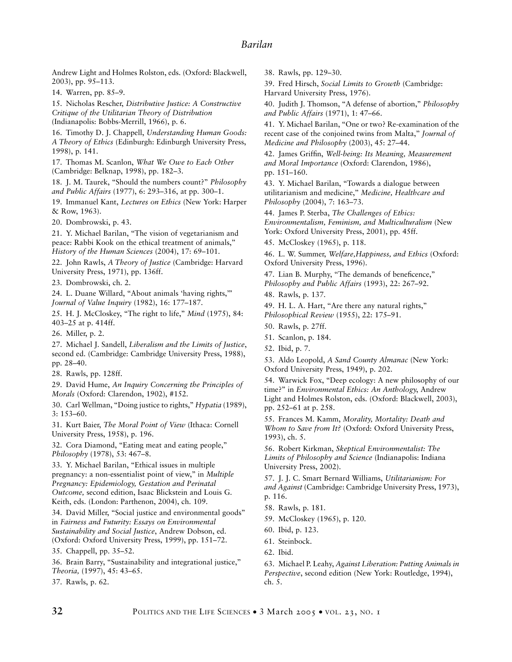Andrew Light and Holmes Rolston, eds. (Oxford: Blackwell, 2003), pp. 95–113.

14. Warren, pp. 85–9.

15. Nicholas Rescher, Distributive Justice: A Constructive Critique of the Utilitarian Theory of Distribution (Indianapolis: Bobbs-Merrill, 1966), p. 6.

16. Timothy D. J. Chappell, Understanding Human Goods: A Theory of Ethics (Edinburgh: Edinburgh University Press, 1998), p. 141.

17. Thomas M. Scanlon, What We Owe to Each Other (Cambridge: Belknap, 1998), pp. 182–3.

18. J. M. Taurek, "Should the numbers count?" Philosophy and Public Affairs (1977), 6: 293–316, at pp. 300–1.

19. Immanuel Kant, Lectures on Ethics (New York: Harper & Row, 1963).

20. Dombrowski, p. 43.

21. Y. Michael Barilan, "The vision of vegetarianism and peace: Rabbi Kook on the ethical treatment of animals,'' History of the Human Sciences (2004), 17: 69–101.

22. John Rawls, A Theory of Justice (Cambridge: Harvard University Press, 1971), pp. 136ff.

23. Dombrowski, ch. 2.

24. L. Duane Willard, ''About animals 'having rights,''' Journal of Value Inquiry (1982), 16: 177–187.

25. H. J. McCloskey, "The right to life," Mind (1975), 84: 403–25 at p. 414ff.

26. Miller, p. 2.

27. Michael J. Sandell, Liberalism and the Limits of Justice, second ed. (Cambridge: Cambridge University Press, 1988), pp. 28–40.

28. Rawls, pp. 128ff.

29. David Hume, An Inquiry Concerning the Principles of Morals (Oxford: Clarendon, 1902), #152.

30. Carl Wellman, "Doing justice to rights," Hypatia (1989), 3: 153–60.

31. Kurt Baier, The Moral Point of View (Ithaca: Cornell University Press, 1958), p. 196.

32. Cora Diamond, ''Eating meat and eating people,'' Philosophy (1978), 53: 467–8.

33. Y. Michael Barilan, ''Ethical issues in multiple pregnancy: a non-essentialist point of view," in Multiple Pregnancy: Epidemiology, Gestation and Perinatal Outcome, second edition, Isaac Blickstein and Louis G. Keith, eds. (London: Parthenon, 2004), ch. 109.

34. David Miller, ''Social justice and environmental goods'' in Fairness and Futurity: Essays on Environmental Sustainability and Social Justice, Andrew Dobson, ed. (Oxford: Oxford University Press, 1999), pp. 151–72.

35. Chappell, pp. 35–52.

36. Brain Barry, ''Sustainability and integrational justice,'' Theoria, (1997), 45: 43–65.

37. Rawls, p. 62.

38. Rawls, pp. 129–30.

39. Fred Hirsch, Social Limits to Growth (Cambridge: Harvard University Press, 1976).

40. Judith J. Thomson, "A defense of abortion," Philosophy and Public Affairs (1971), 1: 47–66.

41. Y. Michael Barilan, ''One or two? Re-examination of the recent case of the conjoined twins from Malta,'' Journal of Medicine and Philosophy (2003), 45: 27–44.

42. James Griffin, Well-being: Its Meaning, Measurement and Moral Importance (Oxford: Clarendon, 1986), pp. 151–160.

43. Y. Michael Barilan, ''Towards a dialogue between utilitarianism and medicine," Medicine, Healthcare and Philosophy (2004), 7: 163–73.

44. James P. Sterba, The Challenges of Ethics: Environmentalism, Feminism, and Multiculturalism (New York: Oxford University Press, 2001), pp. 45ff.

45. McCloskey (1965), p. 118.

46. L. W. Summer, Welfare,Happiness, and Ethics (Oxford: Oxford University Press, 1996).

47. Lian B. Murphy, ''The demands of beneficence,'' Philosophy and Public Affairs (1993), 22: 267–92.

48. Rawls, p. 137.

49. H. L. A. Hart, "Are there any natural rights," Philosophical Review (1955), 22: 175–91.

50. Rawls, p. 27ff.

51. Scanlon, p. 184.

52. Ibid, p. 7.

53. Aldo Leopold, A Sand County Almanac (New York: Oxford University Press, 1949), p. 202.

54. Warwick Fox, ''Deep ecology: A new philosophy of our time?" in Environmental Ethics: An Anthology, Andrew Light and Holmes Rolston, eds. (Oxford: Blackwell, 2003), pp. 252–61 at p. 258.

55. Frances M. Kamm, Morality, Mortality: Death and Whom to Save from It? (Oxford: Oxford University Press, 1993), ch. 5.

56. Robert Kirkman, Skeptical Environmentalist: The Limits of Philosophy and Science (Indianapolis: Indiana University Press, 2002).

57. J. J. C. Smart Bernard Williams, Utilitarianism: For and Against (Cambridge: Cambridge University Press, 1973), p. 116.

58. Rawls, p. 181.

59. McCloskey (1965), p. 120.

60. Ibid, p. 123.

61. Steinbock.

62. Ibid.

63. Michael P. Leahy, Against Liberation: Putting Animals in Perspective, second edition (New York: Routledge, 1994), ch. 5.